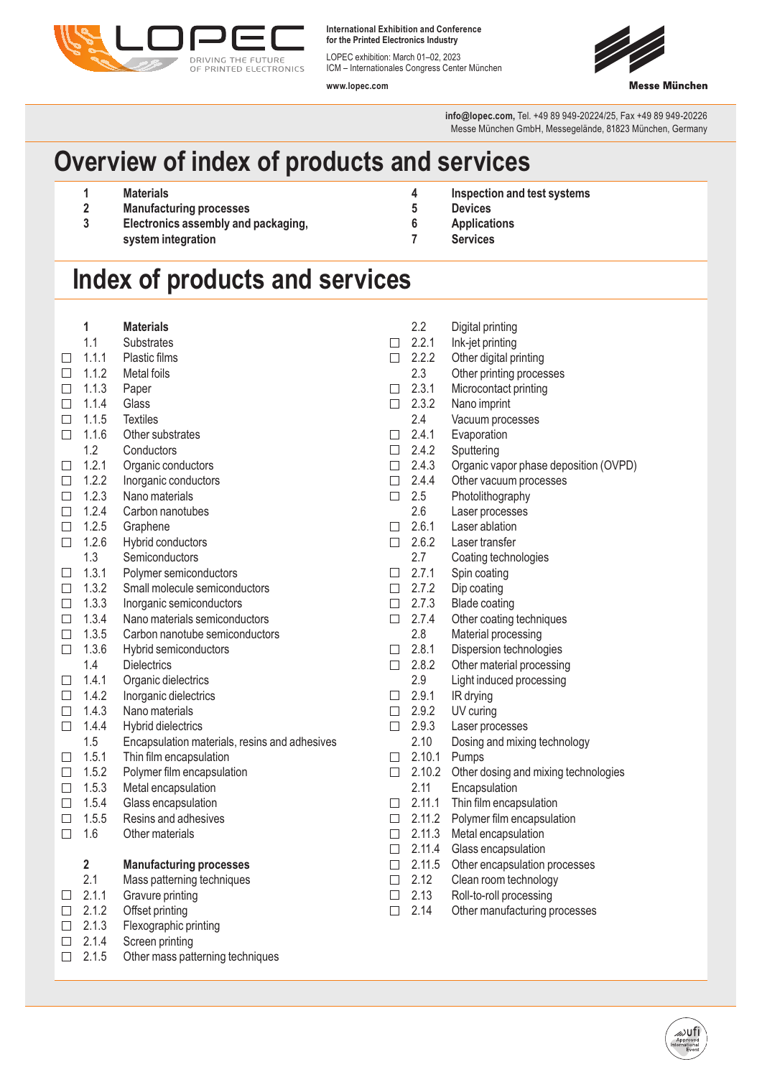

**International Exhibition and Conference for the Printed Electronics Industry**

LOPEC exhibition: March 01–02, 2023 ICM – Internationales Congress Center München

**www.lopec.com**



**info@lopec.com,** Tel. +49 89 949-20224/25, Fax +49 89 949-20226 Messe München GmbH, Messegelände, 81823 München, Germany

## **Overview of index of products and services**

- **1 Materials**
- **2 Manufacturing processes**
- **3 Electronics assembly and packaging, system integration**
- **4 Inspection and test systems**
- **5 Devices**
- **6 Applications**
- **7 Services**

## **Index of products and services**

|        | 1                       | <b>Materials</b>                              |                | 2.2    | Digital printing                      |
|--------|-------------------------|-----------------------------------------------|----------------|--------|---------------------------------------|
|        | 1.1                     | <b>Substrates</b>                             | П              | 2.2.1  | Ink-jet printing                      |
| П      | 1.1.1                   | Plastic films                                 | $\Box$         | 2.2.2  | Other digital printing                |
| $\Box$ | 1.1.2                   | Metal foils                                   |                | 2.3    | Other printing processes              |
| □      | 1.1.3                   | Paper                                         | $\Box$         | 2.3.1  | Microcontact printing                 |
| $\Box$ | 1.1.4                   | Glass                                         | $\Box$         | 2.3.2  | Nano imprint                          |
| $\Box$ | 1.1.5                   | <b>Textiles</b>                               |                | 2.4    | Vacuum processes                      |
| $\Box$ | 1.1.6                   | Other substrates                              | П              | 2.4.1  | Evaporation                           |
|        | 1.2                     | Conductors                                    | $\Box$         | 2.4.2  | Sputtering                            |
| $\Box$ | 1.2.1                   | Organic conductors                            | $\Box$         | 2.4.3  | Organic vapor phase deposition (OVPD) |
| $\Box$ | 1.2.2                   | Inorganic conductors                          | $\Box$         | 2.4.4  | Other vacuum processes                |
| $\Box$ | 1.2.3                   | Nano materials                                | $\Box$         | 2.5    | Photolithography                      |
| □      | 1.2.4                   | Carbon nanotubes                              |                | 2.6    | Laser processes                       |
| $\Box$ | 1.2.5                   | Graphene                                      | $\Box$         | 2.6.1  | Laser ablation                        |
| $\Box$ | 1.2.6                   | Hybrid conductors                             | $\Box$         | 2.6.2  | Laser transfer                        |
|        | 1.3                     | Semiconductors                                |                | 2.7    | Coating technologies                  |
| □      | 1.3.1                   | Polymer semiconductors                        | $\mathbb{R}^n$ | 2.7.1  | Spin coating                          |
| $\Box$ | 1.3.2                   | Small molecule semiconductors                 | $\Box$         | 2.7.2  | Dip coating                           |
| $\Box$ | 1.3.3                   | Inorganic semiconductors                      | $\Box$         | 2.7.3  | <b>Blade coating</b>                  |
| $\Box$ | 1.3.4                   | Nano materials semiconductors                 | $\Box$         | 2.7.4  | Other coating techniques              |
| $\Box$ | 1.3.5                   | Carbon nanotube semiconductors                |                | 2.8    | Material processing                   |
| $\Box$ | 1.3.6                   | Hybrid semiconductors                         | $\Box$         | 2.8.1  | Dispersion technologies               |
|        | 1.4                     | <b>Dielectrics</b>                            | $\Box$         | 2.8.2  | Other material processing             |
| □      | 1.4.1                   | Organic dielectrics                           |                | 2.9    | Light induced processing              |
| П      | 1.4.2                   | Inorganic dielectrics                         | $\Box$         | 2.9.1  | IR drying                             |
| $\Box$ | 1.4.3                   | Nano materials                                | $\Box$         | 2.9.2  | UV curing                             |
| П      | 1.4.4                   | Hybrid dielectrics                            | $\Box$         | 2.9.3  | Laser processes                       |
|        | 1.5                     | Encapsulation materials, resins and adhesives |                | 2.10   | Dosing and mixing technology          |
| □      | 1.5.1                   | Thin film encapsulation                       | $\Box$         | 2.10.1 | Pumps                                 |
| □      | 1.5.2                   | Polymer film encapsulation                    | $\Box$         | 2.10.2 | Other dosing and mixing technologies  |
| $\Box$ | 1.5.3                   | Metal encapsulation                           |                | 2.11   | Encapsulation                         |
| П      | 1.5.4                   | Glass encapsulation                           | П              | 2.11.1 | Thin film encapsulation               |
| П      | 1.5.5                   | Resins and adhesives                          | П              | 2.11.2 | Polymer film encapsulation            |
| П      | 1.6                     | Other materials                               | $\Box$         | 2.11.3 | Metal encapsulation                   |
|        |                         |                                               | $\Box$         | 2.11.4 | Glass encapsulation                   |
|        | $\overline{\mathbf{2}}$ | <b>Manufacturing processes</b>                | $\Box$         | 2.11.5 | Other encapsulation processes         |
|        | 2.1                     | Mass patterning techniques                    | $\Box$         | 2.12   | Clean room technology                 |
| □      | 2.1.1                   | Gravure printing                              | $\Box$         | 2.13   | Roll-to-roll processing               |
| $\Box$ | 2.1.2                   | Offset printing                               | $\Box$         | 2.14   | Other manufacturing processes         |
| $\Box$ | 2.1.3                   | Flexographic printing                         |                |        |                                       |
| □      | 2.1.4                   | Screen printing                               |                |        |                                       |
| $\Box$ | 2.1.5                   | Other mass patterning techniques              |                |        |                                       |
|        |                         |                                               |                |        |                                       |